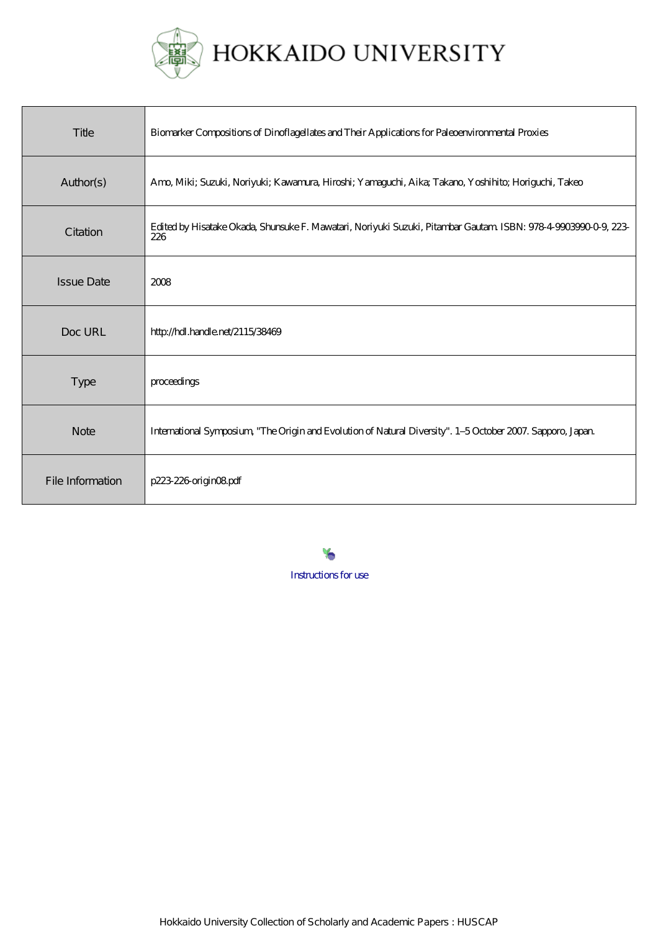

# HOKKAIDO UNIVERSITY

| Title             | Biomarker Compositions of Dinoflagellates and Their Applications for Paleoenvironmental Proxies                       |
|-------------------|-----------------------------------------------------------------------------------------------------------------------|
| Author(s)         | Amo, Miki; Suzuki, Noriyuki; Kawamura, Hiroshi; Yamaguchi, Aika; Takano, Yoshihito; Horiguchi, Takeo                  |
| Citation          | Edited by Hisatake Okada, Shunsuke F. Mawatari, Noriyuki Suzuki, Pitambar Gautam ISBN: 978-4-9903990-0-9, 223-<br>226 |
| <b>Issue Date</b> | 2008                                                                                                                  |
| Doc URL           | http://hdl.handle.net/2115/38469                                                                                      |
| <b>Type</b>       | proceedings                                                                                                           |
| <b>Note</b>       | International Symposium, "The Origin and Evolution of Natural Diversity". 1-5 October 2007. Sapporo, Japan            |
| File Information  | p223-226-origin08pdf                                                                                                  |

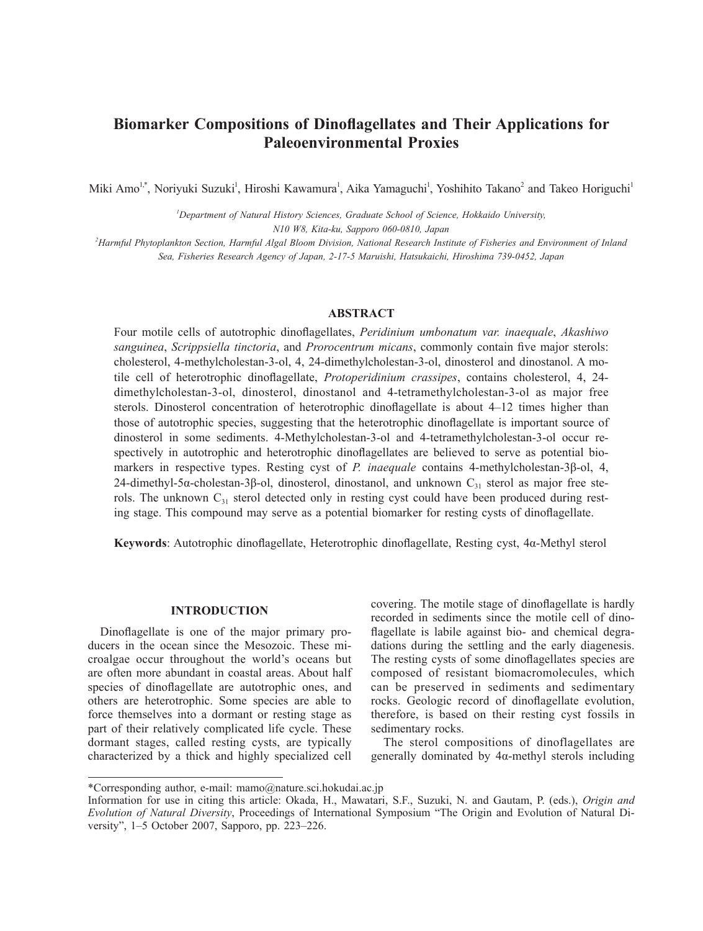# **Biomarker Compositions of Dinoflagellates and Their Applications for Paleoenvironmental Proxies**

Miki Amo<sup>1,\*</sup>, Noriyuki Suzuki<sup>1</sup>, Hiroshi Kawamura<sup>1</sup>, Aika Yamaguchi<sup>1</sup>, Yoshihito Takano<sup>2</sup> and Takeo Horiguchi<sup>1</sup>

*1 Department of Natural History Sciences, Graduate School of Science, Hokkaido University, N10 W8, Kita-ku, Sapporo 060-0810, Japan*

*2 Harmful Phytoplankton Section, Harmful Algal Bloom Division, National Research Institute of Fisheries and Environment of Inland Sea, Fisheries Research Agency of Japan, 2-17-5 Maruishi, Hatsukaichi, Hiroshima 739-0452, Japan*

## **ABSTRACT**

Four motile cells of autotrophic dinoflagellates, *Peridinium umbonatum var. inaequale*, *Akashiwo sanguinea*, *Scrippsiella tinctoria*, and *Prorocentrum micans*, commonly contain five major sterols: cholesterol, 4-methylcholestan-3-ol, 4, 24-dimethylcholestan-3-ol, dinosterol and dinostanol. A motile cell of heterotrophic dinoflagellate, *Protoperidinium crassipes*, contains cholesterol, 4, 24 dimethylcholestan-3-ol, dinosterol, dinostanol and 4-tetramethylcholestan-3-ol as major free sterols. Dinosterol concentration of heterotrophic dinoflagellate is about 4–12 times higher than those of autotrophic species, suggesting that the heterotrophic dinoflagellate is important source of dinosterol in some sediments. 4-Methylcholestan-3-ol and 4-tetramethylcholestan-3-ol occur respectively in autotrophic and heterotrophic dinoflagellates are believed to serve as potential biomarkers in respective types. Resting cyst of *P. inaequale* contains 4-methylcholestan-3β-ol, 4, 24-dimethyl-5α-cholestan-3β-ol, dinosterol, dinostanol, and unknown  $C_{31}$  sterol as major free sterols. The unknown  $C_{31}$  sterol detected only in resting cyst could have been produced during resting stage. This compound may serve as a potential biomarker for resting cysts of dinoflagellate.

**Keywords**: Autotrophic dinoflagellate, Heterotrophic dinoflagellate, Resting cyst, 4α-Methyl sterol

#### **INTRODUCTION**

Dinoflagellate is one of the major primary producers in the ocean since the Mesozoic. These microalgae occur throughout the world's oceans but are often more abundant in coastal areas. About half species of dinoflagellate are autotrophic ones, and others are heterotrophic. Some species are able to force themselves into a dormant or resting stage as part of their relatively complicated life cycle. These dormant stages, called resting cysts, are typically characterized by a thick and highly specialized cell covering. The motile stage of dinoflagellate is hardly recorded in sediments since the motile cell of dinoflagellate is labile against bio- and chemical degradations during the settling and the early diagenesis. The resting cysts of some dinoflagellates species are composed of resistant biomacromolecules, which can be preserved in sediments and sedimentary rocks. Geologic record of dinoflagellate evolution, therefore, is based on their resting cyst fossils in sedimentary rocks.

The sterol compositions of dinoflagellates are generally dominated by 4α-methyl sterols including

<sup>\*</sup>Corresponding author, e-mail: mamo@nature.sci.hokudai.ac.jp

Information for use in citing this article: Okada, H., Mawatari, S.F., Suzuki, N. and Gautam, P. (eds.), *Origin and Evolution of Natural Diversity*, Proceedings of International Symposium "The Origin and Evolution of Natural Diversity", 1–5 October 2007, Sapporo, pp. 223–226.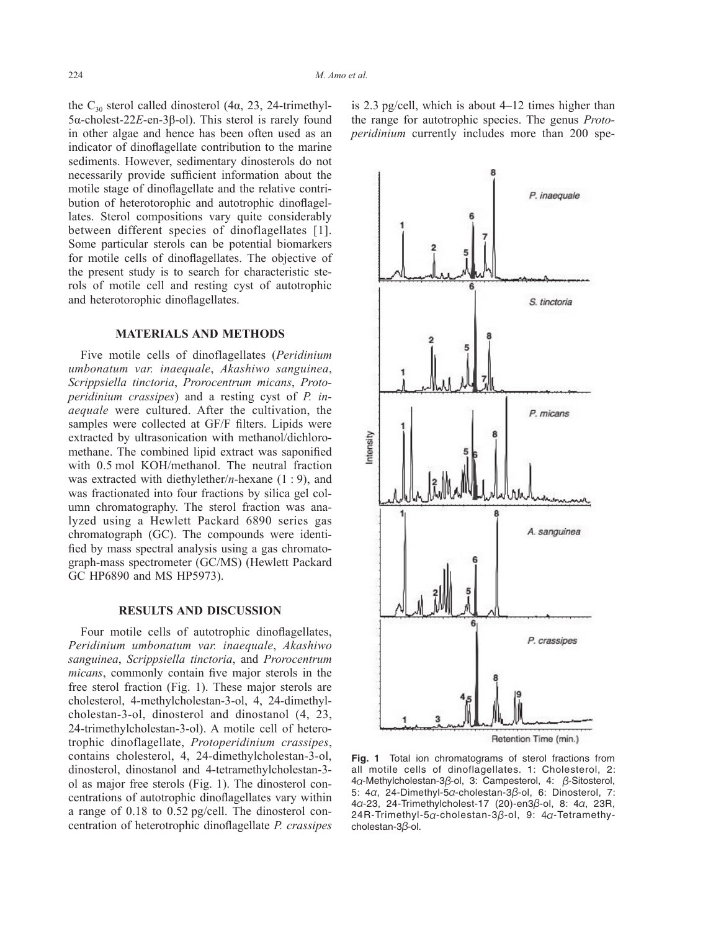the C<sub>30</sub> sterol called dinosterol (4α, 23, 24-trimethyl-5α-cholest-22*E*-en-3β-ol). This sterol is rarely found in other algae and hence has been often used as an indicator of dinoflagellate contribution to the marine sediments. However, sedimentary dinosterols do not necessarily provide sufficient information about the motile stage of dinoflagellate and the relative contribution of heterotorophic and autotrophic dinoflagellates. Sterol compositions vary quite considerably between different species of dinoflagellates [1]. Some particular sterols can be potential biomarkers for motile cells of dinoflagellates. The objective of the present study is to search for characteristic sterols of motile cell and resting cyst of autotrophic and heterotorophic dinoflagellates.

### **MATERIALS AND METHODS**

Five motile cells of dinoflagellates (*Peridinium umbonatum var. inaequale*, *Akashiwo sanguinea*, *Scrippsiella tinctoria*, *Prorocentrum micans*, *Protoperidinium crassipes*) and a resting cyst of *P. inaequale* were cultured. After the cultivation, the samples were collected at GF/F filters. Lipids were extracted by ultrasonication with methanol/dichloromethane. The combined lipid extract was saponified with 0.5 mol KOH/methanol. The neutral fraction was extracted with diethylether/*n*-hexane (1 : 9), and was fractionated into four fractions by silica gel column chromatography. The sterol fraction was analyzed using a Hewlett Packard 6890 series gas chromatograph (GC). The compounds were identified by mass spectral analysis using a gas chromatograph-mass spectrometer (GC/MS) (Hewlett Packard GC HP6890 and MS HP5973).

#### **RESULTS AND DISCUSSION**

Four motile cells of autotrophic dinoflagellates, *Peridinium umbonatum var. inaequale*, *Akashiwo sanguinea*, *Scrippsiella tinctoria*, and *Prorocentrum micans*, commonly contain five major sterols in the free sterol fraction (Fig. 1). These major sterols are cholesterol, 4-methylcholestan-3-ol, 4, 24-dimethylcholestan-3-ol, dinosterol and dinostanol (4, 23, 24-trimethylcholestan-3-ol). A motile cell of heterotrophic dinoflagellate, *Protoperidinium crassipes*, contains cholesterol, 4, 24-dimethylcholestan-3-ol, dinosterol, dinostanol and 4-tetramethylcholestan-3 ol as major free sterols (Fig. 1). The dinosterol concentrations of autotrophic dinoflagellates vary within a range of 0.18 to 0.52 pg/cell. The dinosterol concentration of heterotrophic dinoflagellate *P. crassipes*

is 2.3 pg/cell, which is about 4–12 times higher than the range for autotrophic species. The genus *Protoperidinium* currently includes more than 200 spe-



Retention Time (min.)

**Fig. 1** Total ion chromatograms of sterol fractions from all motile cells of dinoflagellates. 1: Cholesterol, 2: 4α-Methylcholestan-3β-ol, 3: Campesterol, 4: β-Sitosterol, 5: 4α, 24-Dimethyl-5α-cholestan-3β-ol, 6: Dinosterol, 7: 4α-23, 24-Trimethylcholest-17 (20)-en3β-ol, 8: 4α, 23R, 24R-Trimethyl-5α-cholestan-3β-ol, 9: 4α-Tetramethycholestan-3β-ol.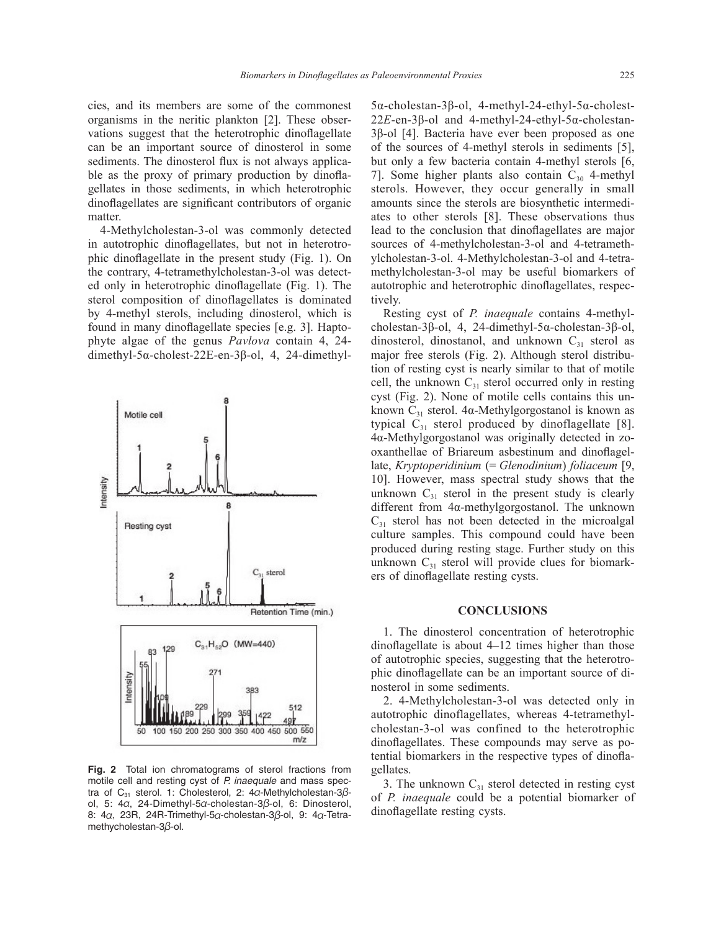cies, and its members are some of the commonest organisms in the neritic plankton [2]. These observations suggest that the heterotrophic dinoflagellate can be an important source of dinosterol in some sediments. The dinosterol flux is not always applicable as the proxy of primary production by dinoflagellates in those sediments, in which heterotrophic dinoflagellates are significant contributors of organic matter.

4-Methylcholestan-3-ol was commonly detected in autotrophic dinoflagellates, but not in heterotrophic dinoflagellate in the present study (Fig. 1). On the contrary, 4-tetramethylcholestan-3-ol was detected only in heterotrophic dinoflagellate (Fig. 1). The sterol composition of dinoflagellates is dominated by 4-methyl sterols, including dinosterol, which is found in many dinoflagellate species [e.g. 3]. Haptophyte algae of the genus *Pavlova* contain 4, 24 dimethyl-5α-cholest-22E-en-3β-ol, 4, 24-dimethyl-



**Fig. 2** Total ion chromatograms of sterol fractions from motile cell and resting cyst of *P. inaequale* and mass spectra of C<sub>31</sub> sterol. 1: Cholesterol, 2: 4α-Methylcholestan-3βol, 5:  $4\alpha$ , 24-Dimethyl-5α-cholestan-3β-ol, 6: Dinosterol, 8: 4α, 23R, 24R-Trimethyl-5α-cholestan-3β-ol, 9: 4α-Tetramethycholestan-3β-ol.

5α-cholestan-3β-ol, 4-methyl-24-ethyl-5α-cholest-22*E*-en-3β-ol and 4-methyl-24-ethyl-5α-cholestan-3β-ol [4]. Bacteria have ever been proposed as one of the sources of 4-methyl sterols in sediments [5], but only a few bacteria contain 4-methyl sterols [6, 7]. Some higher plants also contain  $C_{30}$  4-methyl sterols. However, they occur generally in small amounts since the sterols are biosynthetic intermediates to other sterols [8]. These observations thus lead to the conclusion that dinoflagellates are major sources of 4-methylcholestan-3-ol and 4-tetramethylcholestan-3-ol. 4-Methylcholestan-3-ol and 4-tetramethylcholestan-3-ol may be useful biomarkers of autotrophic and heterotrophic dinoflagellates, respectively.

Resting cyst of *P. inaequale* contains 4-methylcholestan-3β-ol, 4, 24-dimethyl-5α-cholestan-3β-ol, dinosterol, dinostanol, and unknown  $C_{31}$  sterol as major free sterols (Fig. 2). Although sterol distribution of resting cyst is nearly similar to that of motile cell, the unknown  $C_{31}$  sterol occurred only in resting cyst (Fig. 2). None of motile cells contains this unknown  $C_{31}$  sterol. 4α-Methylgorgostanol is known as typical  $C_{31}$  sterol produced by dinoflagellate [8]. 4α-Methylgorgostanol was originally detected in zooxanthellae of Briareum asbestinum and dinoflagellate, *Kryptoperidinium* (= *Glenodinium*) *foliaceum* [9, 10]. However, mass spectral study shows that the unknown  $C_{31}$  sterol in the present study is clearly different from 4α-methylgorgostanol. The unknown  $C_{31}$  sterol has not been detected in the microalgal culture samples. This compound could have been produced during resting stage. Further study on this unknown  $C_{31}$  sterol will provide clues for biomarkers of dinoflagellate resting cysts.

### **CONCLUSIONS**

1. The dinosterol concentration of heterotrophic dinoflagellate is about 4–12 times higher than those of autotrophic species, suggesting that the heterotrophic dinoflagellate can be an important source of dinosterol in some sediments.

2. 4-Methylcholestan-3-ol was detected only in autotrophic dinoflagellates, whereas 4-tetramethylcholestan-3-ol was confined to the heterotrophic dinoflagellates. These compounds may serve as potential biomarkers in the respective types of dinoflagellates.

3. The unknown  $C_{31}$  sterol detected in resting cyst of *P. inaequale* could be a potential biomarker of dinoflagellate resting cysts.